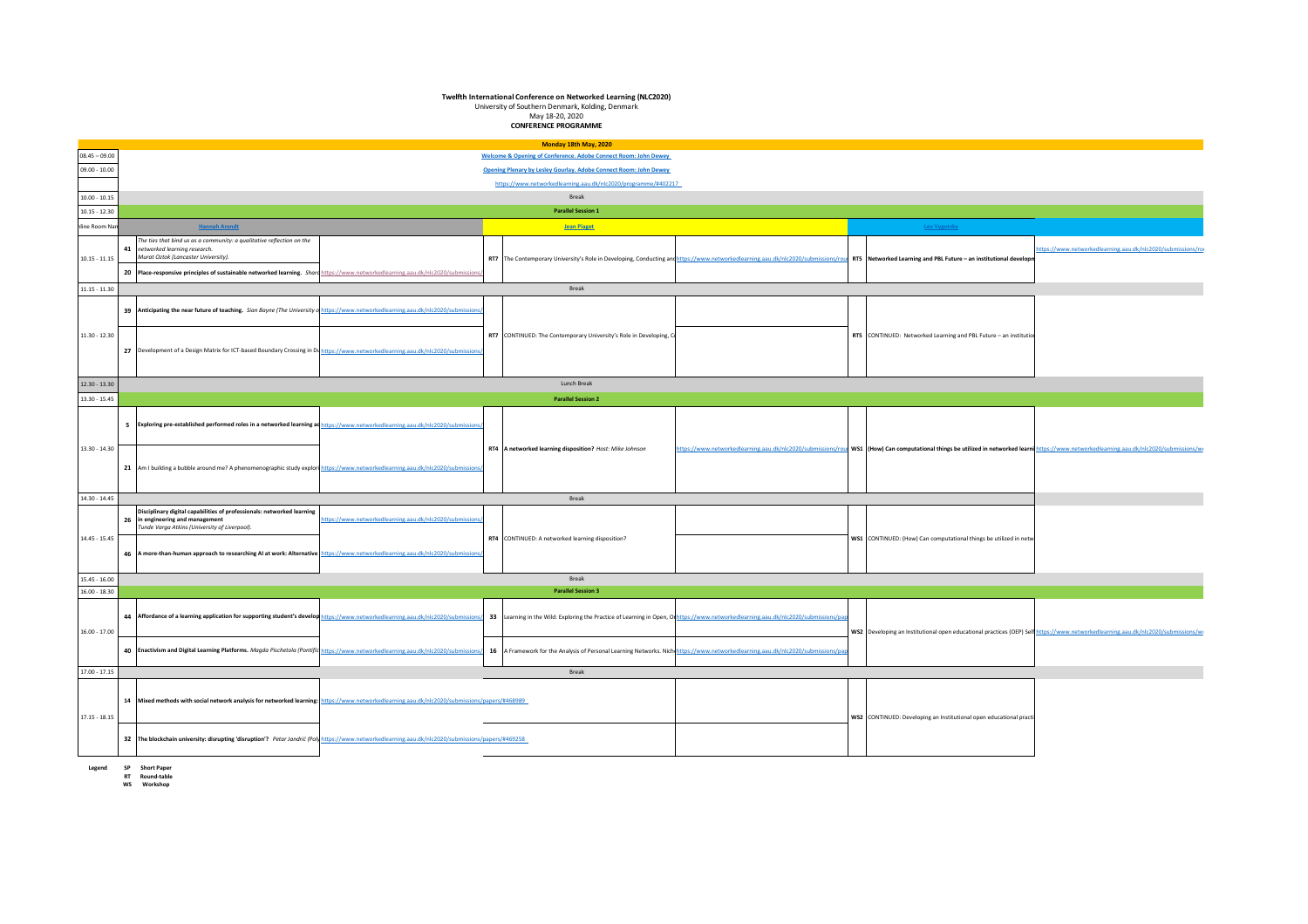## **Twelfth International Conference on Networked Learning (NLC2020)**

University of Southern Denmark, Kolding, Denmark May 18-20, 2020

**CONFERENCE PROGRAMME**

|                 |                                                                                                                                                                                                                                                                                                                                                   | Monday 18th May, 2020                                                                                                              |                                                                                                                                                                                                      |                                                            |
|-----------------|---------------------------------------------------------------------------------------------------------------------------------------------------------------------------------------------------------------------------------------------------------------------------------------------------------------------------------------------------|------------------------------------------------------------------------------------------------------------------------------------|------------------------------------------------------------------------------------------------------------------------------------------------------------------------------------------------------|------------------------------------------------------------|
| $08.45 - 09.00$ |                                                                                                                                                                                                                                                                                                                                                   | Welcome & Opening of Conference. Adobe Connect Room: John Dewey                                                                    |                                                                                                                                                                                                      |                                                            |
| $09.00 - 10.00$ |                                                                                                                                                                                                                                                                                                                                                   | Opening Plenary by Lesley Gourlay. Adobe Connect Room: John Dewey                                                                  |                                                                                                                                                                                                      |                                                            |
|                 |                                                                                                                                                                                                                                                                                                                                                   | https://www.networkedlearning.aau.dk/nlc2020/programme/#402217                                                                     |                                                                                                                                                                                                      |                                                            |
| $10.00 - 10.15$ |                                                                                                                                                                                                                                                                                                                                                   | Break                                                                                                                              |                                                                                                                                                                                                      |                                                            |
| $10.15 - 12.30$ |                                                                                                                                                                                                                                                                                                                                                   | <b>Parallel Session 1</b>                                                                                                          |                                                                                                                                                                                                      |                                                            |
| nline Room Nar  | <b>Hannah Arendt</b>                                                                                                                                                                                                                                                                                                                              | <b>Jean Piaget</b>                                                                                                                 | Lev Vygotsky                                                                                                                                                                                         |                                                            |
| $10.15 - 11.15$ | The ties that bind us as a community: a qualitative reflection on the<br>41 networked learning research.<br>Murat Oztok (Lancaster University).<br>20 Place-responsive principles of sustainable networked learning. Shard https://www.networkedlearning.aau.dk/nlc2020/submis                                                                    |                                                                                                                                    | RT7 The Contemporary University's Role in Developing, Conducting and https://www.networkedlearning.aau.dk/nlc2020/submissions/roul RT5 Networked Learning and PBL Future - an institutional developr | ttps://www.networkedlearning.aau.dk/nlc2020/submissions/ro |
| $11.15 - 11.30$ |                                                                                                                                                                                                                                                                                                                                                   | Break                                                                                                                              |                                                                                                                                                                                                      |                                                            |
|                 | 39 Anticipating the near future of teaching. Sian Bayne (The University of https://www.networkedlearning.aau.dk/nlc2020/submiss                                                                                                                                                                                                                   |                                                                                                                                    |                                                                                                                                                                                                      |                                                            |
| $11.30 - 12.30$ | 27 Development of a Design Matrix for ICT-based Boundary Crossing in Duhttps://www.networkedlearning.aau.dk/nlc2020/submissi                                                                                                                                                                                                                      | RT7 CONTINUED: The Contemporary University's Role in Developing, Co                                                                | RTS CONTINUED: Networked Learning and PBL Future - an institution                                                                                                                                    |                                                            |
| $12.30 - 13.30$ |                                                                                                                                                                                                                                                                                                                                                   | Lunch Break                                                                                                                        |                                                                                                                                                                                                      |                                                            |
| 13.30 - 15.45   |                                                                                                                                                                                                                                                                                                                                                   | <b>Parallel Session 2</b>                                                                                                          |                                                                                                                                                                                                      |                                                            |
| $13.30 - 14.30$ | 5 Exploring pre-established performed roles in a networked learning ad https://www.networkedlearning.aau.dk/nlc2020/submiss                                                                                                                                                                                                                       | RT4 A networked learning disposition? Host: Mike Johnson                                                                           | https://www.networkedlearning.aau.dk/nlc2020/submissions/rou WS1 (How) Can computational things be utilized in networked learni https://www.networkedlearning.aau.dk/nlc2020/submissions/w           |                                                            |
|                 | 21 Am I building a bubble around me? A phenomenographic study explori https://www.networkedlearning.aau.dk/nlc2020/submissio                                                                                                                                                                                                                      |                                                                                                                                    |                                                                                                                                                                                                      |                                                            |
| $14.30 - 14.45$ |                                                                                                                                                                                                                                                                                                                                                   | Break                                                                                                                              |                                                                                                                                                                                                      |                                                            |
| $14.45 - 15.45$ | Disciplinary digital capabilities of professionals: networked learning<br>ttps://www.networkedlearning.aau.dk/nlc2020/submissio<br>26 in engineering and management<br>Tunde Varga Atkins (University of Liverpool).<br>46 A more-than-human approach to researching AI at work: Alternative https://www.networkedlearning.aau.dk/nlc2020/submiss | RT4 CONTINUED: A networked learning disposition?                                                                                   | WS1 CONTINUED: (How) Can computational things be utilized in netwo                                                                                                                                   |                                                            |
| $15.45 - 16.00$ |                                                                                                                                                                                                                                                                                                                                                   | Break                                                                                                                              |                                                                                                                                                                                                      |                                                            |
| $16.00 - 18.30$ |                                                                                                                                                                                                                                                                                                                                                   | <b>Parallel Session 3</b>                                                                                                          |                                                                                                                                                                                                      |                                                            |
| $16.00 - 17.00$ | 44 Affordance of a learning application for supporting student's develop https://www.networkedlearning.aau.dk/nlc2020/submissions/                                                                                                                                                                                                                | 33 Learning in the Wild: Exploring the Practice of Learning in Open, Orhttps://www.networkedlearning.aau.dk/nlc2020/submissions/pa | WS2 Developing an Institutional open educational practices (OEP) Self https://www.networkedlearning.aau.dk/nlc2020/submissions/w                                                                     |                                                            |
|                 | 40 Fnactivism and Digital Learning Platforms. Magda Pischetola (Pontific https://www.networkedlearning.aau.dk/nlc2020/submissior                                                                                                                                                                                                                  | 16 A Framework for the Analysis of Personal Learning Networks. Nichi https://www.networkedlearning.aau.dk/nlc2020/submissions/     |                                                                                                                                                                                                      |                                                            |
| $17.00 - 17.15$ |                                                                                                                                                                                                                                                                                                                                                   | Break                                                                                                                              |                                                                                                                                                                                                      |                                                            |
| $17.15 - 18.15$ | 14 Mixed methods with social network analysis for networked learning: https://www.networkedlearning.aau.dk/nlc2020/submissions/papers/#468989                                                                                                                                                                                                     |                                                                                                                                    | WS2 CONTINUED: Developing an Institutional open educational practi                                                                                                                                   |                                                            |
|                 | 32 The blockchain university: disrupting 'disruption'? Petar Jandrić (Poly https://www.networkedlearning.aau.dk/nlc2020/submissions/papers/#469258                                                                                                                                                                                                |                                                                                                                                    |                                                                                                                                                                                                      |                                                            |
|                 |                                                                                                                                                                                                                                                                                                                                                   |                                                                                                                                    |                                                                                                                                                                                                      |                                                            |

**Legend SP Short Paper RT Round-table WS Workshop**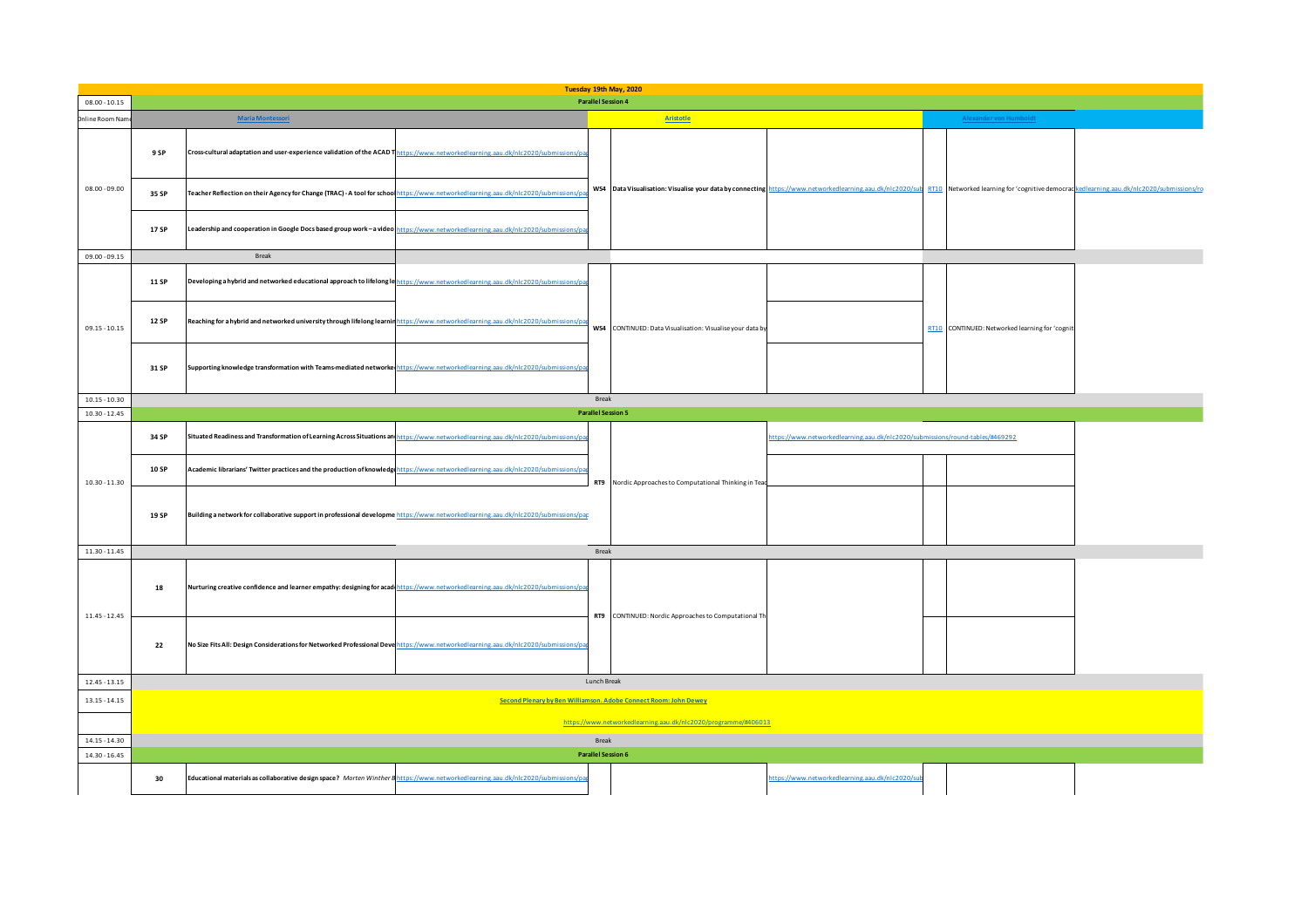| $08.00 - 10.15$                    |       |                                                                                                                                     | <b>Parallel Session 4</b>          | Tuesday 19th May, 2020                                           |                                                                                                                                                                                                     |  |
|------------------------------------|-------|-------------------------------------------------------------------------------------------------------------------------------------|------------------------------------|------------------------------------------------------------------|-----------------------------------------------------------------------------------------------------------------------------------------------------------------------------------------------------|--|
| Inline Room Nam                    |       | <b>Maria Montessori</b>                                                                                                             |                                    | <b>Aristotle</b>                                                 | Alexander von Humboldt                                                                                                                                                                              |  |
|                                    | 9 SP  | Cross-cultural adaptation and user-experience validation of the ACAD Thttps://www.networkedlearning.aau.dk/nlc2020/submiss          |                                    |                                                                  |                                                                                                                                                                                                     |  |
| $08.00 - 09.00$                    | 35 SP | Teacher Reflection on their Agency for Change (TRAC) - A tool for school https://www.networkedlearning.aau.dk/nlc2020/submis:       |                                    |                                                                  | WS4 Data Visualisation: Visualise your data by connecting https://www.networkedlearning.aau.dk/nlc2020/sub RT10 Networked learning for 'cognitive democrackedlearning.aau.dk/nlc2020/submissions/rc |  |
|                                    | 17 SP | Leadership and cooperation in Google Docs based group work - a video https://www.networkedlearning.aau.dk/nlc2020/submissions/      |                                    |                                                                  |                                                                                                                                                                                                     |  |
| 09.00 - 09.15                      |       | Break                                                                                                                               |                                    |                                                                  |                                                                                                                                                                                                     |  |
|                                    | 11 SP | Developing a hybrid and networked educational approach to lifelong lehttps://www.networkedlearning.aau.dk/nlc2020/submissions.      |                                    |                                                                  |                                                                                                                                                                                                     |  |
| $09.15 - 10.15$                    | 12 SP | Reaching for a hybrid and networked university through lifelong learnin https://www.networkedlearning.aau.dk/nlc2020/submis:        |                                    | WS4 CONTINUED: Data Visualisation: Visualise your data by        | RT10 CONTINUED: Networked learning for 'cognit                                                                                                                                                      |  |
|                                    | 31 SP | Supporting knowledge transformation with Teams-mediated networke https://www.networkedlearning.aau.dk/nlc2020/submissions/p         |                                    |                                                                  |                                                                                                                                                                                                     |  |
| $10.15 - 10.30$                    |       |                                                                                                                                     | Break                              |                                                                  |                                                                                                                                                                                                     |  |
| $10.30 - 12.45$                    |       |                                                                                                                                     | <b>Parallel Session 5</b>          |                                                                  |                                                                                                                                                                                                     |  |
|                                    | 34 SP | Situated Readiness and Transformation of Learning Across Situations and https://www.networkedlearning.aau.dk/nlc2020/submis:        |                                    |                                                                  | tps://www.networkedlearning.aau.dk/nlc2020/submissions/round-tables/#469292                                                                                                                         |  |
| $10.30 - 11.30$                    | 10 SP | Academic librarians' Twitter practices and the production of knowledge https://www.networkedlearning.aau.dk/nlc2020/subr            |                                    | RT9 Nordic Approaches to Computational Thinking in Tead          |                                                                                                                                                                                                     |  |
|                                    | 19 SP | Building a network for collaborative support in professional developme https://www.networkedlearning.aau.dk/nlc2020/submissions/par |                                    |                                                                  |                                                                                                                                                                                                     |  |
| $11.30 - 11.45$                    |       |                                                                                                                                     | Break                              |                                                                  |                                                                                                                                                                                                     |  |
| $11.45 - 12.45$                    | 18    | Nurturing creative confidence and learner empathy: designing for acad https://www.networkedlearning.aau.dk/nlc2020/submis           |                                    | RT9 CONTINUED: Nordic Approaches to Computational Th             |                                                                                                                                                                                                     |  |
|                                    | 22    | No Size Fits All: Design Considerations for Networked Professional Devenittps://www.networkedlearning.aau.dk/nlc2020/submissions/p  |                                    |                                                                  |                                                                                                                                                                                                     |  |
| $12.45 - 13.15$                    |       |                                                                                                                                     | Lunch Break                        |                                                                  |                                                                                                                                                                                                     |  |
| $13.15 - 14.15$                    |       |                                                                                                                                     |                                    | Second Plenary by Ben Williamson. Adobe Connect Room: John Dewey |                                                                                                                                                                                                     |  |
|                                    |       |                                                                                                                                     |                                    | https://www.networkedlearning.aau.dk/nlc2020/programme/#406013   |                                                                                                                                                                                                     |  |
| $14.15 - 14.30$<br>$14.30 - 16.45$ |       |                                                                                                                                     | Break<br><b>Parallel Session 6</b> |                                                                  |                                                                                                                                                                                                     |  |
|                                    |       |                                                                                                                                     |                                    |                                                                  |                                                                                                                                                                                                     |  |
|                                    | 30    | Educational materials as collaborative design space? Morten Winther Bhttps://www.networkedlearning.aau.dk/nlc2020/submissi          |                                    |                                                                  | tps://www.networkedlearning.aau.dk/nlc2020/                                                                                                                                                         |  |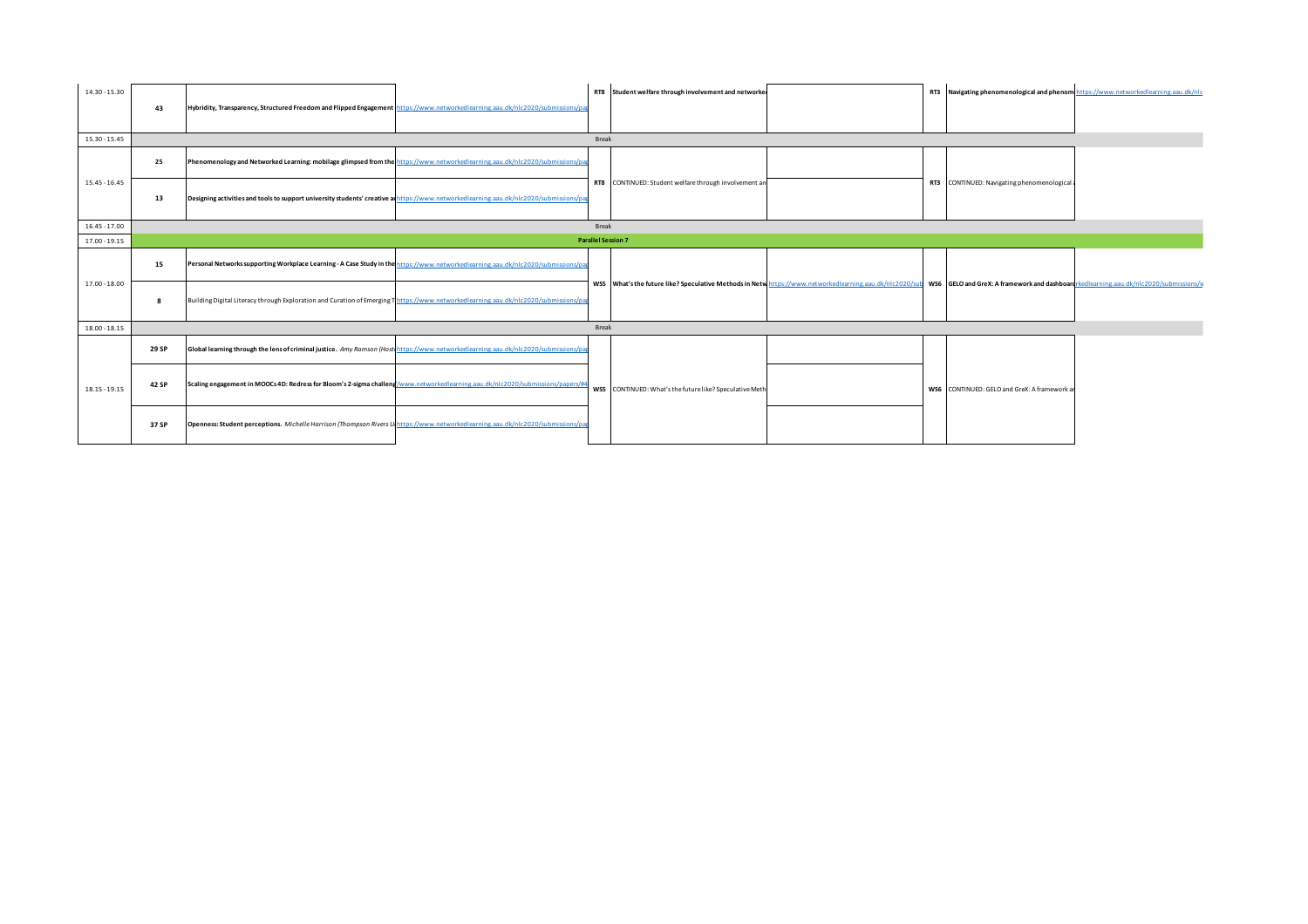| $14.30 - 15.30$ | 43    | Hybridity, Transparency, Structured Freedom and Flipped Engagement https://www.networkedlearning.aau.dk/nlc2020/submissions/pa         |       | RT8 Student welfare through involvement and networker                                                                                                                                          |  | RT3 Navigating phenomenological and phenom https://www.networkedlearning.aau.dk/nlc |  |
|-----------------|-------|----------------------------------------------------------------------------------------------------------------------------------------|-------|------------------------------------------------------------------------------------------------------------------------------------------------------------------------------------------------|--|-------------------------------------------------------------------------------------|--|
| $15.30 - 15.45$ |       |                                                                                                                                        | Break |                                                                                                                                                                                                |  |                                                                                     |  |
|                 | 25    | Phenomenology and Networked Learning: mobilage glimpsed from the https://www.networkedlearning.aau.dk/nlc2020/submissions/pa           |       |                                                                                                                                                                                                |  |                                                                                     |  |
| $15.45 - 16.45$ | 13    | Designing activities and tools to support university students' creative an https://www.networkedlearning.aau.dk/nlc2020/submissions/pa |       | RT8 CONTINUED: Student welfare through involvement an                                                                                                                                          |  | RT3 CONTINUED: Navigating phenomenological a                                        |  |
| $16.45 - 17.00$ |       |                                                                                                                                        | Break |                                                                                                                                                                                                |  |                                                                                     |  |
| $17.00 - 19.15$ |       |                                                                                                                                        |       | <b>Parallel Session 7</b>                                                                                                                                                                      |  |                                                                                     |  |
|                 | 15    | Personal Networks supporting Workplace Learning - A Case Study in the https://www.networkedlearning.aau.dk/nlc2020/submissions/pa      |       |                                                                                                                                                                                                |  |                                                                                     |  |
| $17.00 - 18.00$ |       | Building Digital Literacy through Exploration and Curation of Emerging Thttos://www.networkedlearning.aau.dk/nlc2020/submissions/oa    |       | WS5 What's the future like? Speculative Methods in Netw https://www.networkedlearning.aau.dk/nlc2020/sub WS6 GELO and GreX: A framework and dashboardrkedlearning.aau.dk/nlc2020/submissions/v |  |                                                                                     |  |
| $18.00 - 18.15$ |       |                                                                                                                                        | Break |                                                                                                                                                                                                |  |                                                                                     |  |
|                 | 29 SP | Global learning through the lens of criminal justice. Amy Ramson (Host https://www.networkedlearning.aau.dk/nlc2020/submissions/pa     |       |                                                                                                                                                                                                |  |                                                                                     |  |
| $18.15 - 19.15$ | 42 SP | Scaling engagement in MOOCs 4D: Redress for Bloom's 2-sigma challeng/www.networkedlearning.aau.dk/nlc2020/submissions/papers/#4        |       | WS5 CONTINUED: What's the future like? Speculative Meth                                                                                                                                        |  | WS6 CONTINUED: GELO and GreX: A framework an                                        |  |
|                 | 37 SP | Openness: Student perceptions. Michelle Harrison (Thompson Rivers U https://www.networkedlearning.aau.dk/nlc2020/submissions/pa        |       |                                                                                                                                                                                                |  |                                                                                     |  |